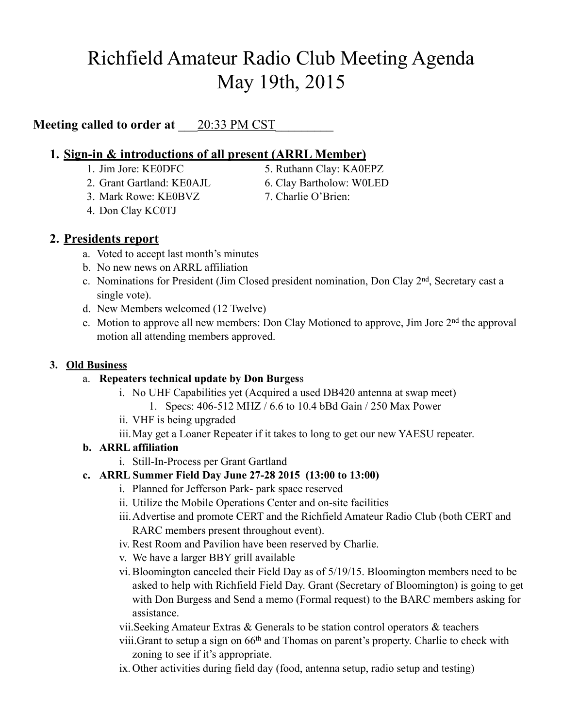# Richfield Amateur Radio Club Meeting Agenda May 19th, 2015

# **Meeting called to order at**  $20:33 \text{ PM SST}$

## **1. Sign-in & introductions of all present (ARRL Member)**

- 
- 2. Grant Gartland: KE0AJL 6. Clay Bartholow: W0LED
- 3. Mark Rowe: KE0BVZ 7. Charlie O'Brien:
- 4. Don Clay KC0TJ

1. Jim Jore: KE0DFC 5. Ruthann Clay: KA0EPZ

- 
- 

# **2. Presidents report**

- a. Voted to accept last month's minutes
- b. No new news on ARRL affiliation
- c. Nominations for President (Jim Closed president nomination, Don Clay 2nd, Secretary cast a single vote).
- d. New Members welcomed (12 Twelve)
- e. Motion to approve all new members: Don Clay Motioned to approve, Jim Jore 2nd the approval motion all attending members approved.

#### **3. Old Business**

## a. **Repeaters technical update by Don Burges**s

- i. No UHF Capabilities yet (Acquired a used DB420 antenna at swap meet)
	- 1. Specs: 406-512 MHZ / 6.6 to 10.4 bBd Gain / 250 Max Power
- ii. VHF is being upgraded
- iii.May get a Loaner Repeater if it takes to long to get our new YAESU repeater.

## **b. ARRL affiliation**

i. Still-In-Process per Grant Gartland

## **c. ARRL Summer Field Day June 27-28 2015 (13:00 to 13:00)**

- i. Planned for Jefferson Park- park space reserved
- ii. Utilize the Mobile Operations Center and on-site facilities
- iii.Advertise and promote CERT and the Richfield Amateur Radio Club (both CERT and RARC members present throughout event).
- iv. Rest Room and Pavilion have been reserved by Charlie.
- v. We have a larger BBY grill available
- vi.Bloomington canceled their Field Day as of 5/19/15. Bloomington members need to be asked to help with Richfield Field Day. Grant (Secretary of Bloomington) is going to get with Don Burgess and Send a memo (Formal request) to the BARC members asking for assistance.
- vii.Seeking Amateur Extras & Generals to be station control operators & teachers
- viii.Grant to setup a sign on 66th and Thomas on parent's property. Charlie to check with zoning to see if it's appropriate.
- ix. Other activities during field day (food, antenna setup, radio setup and testing)